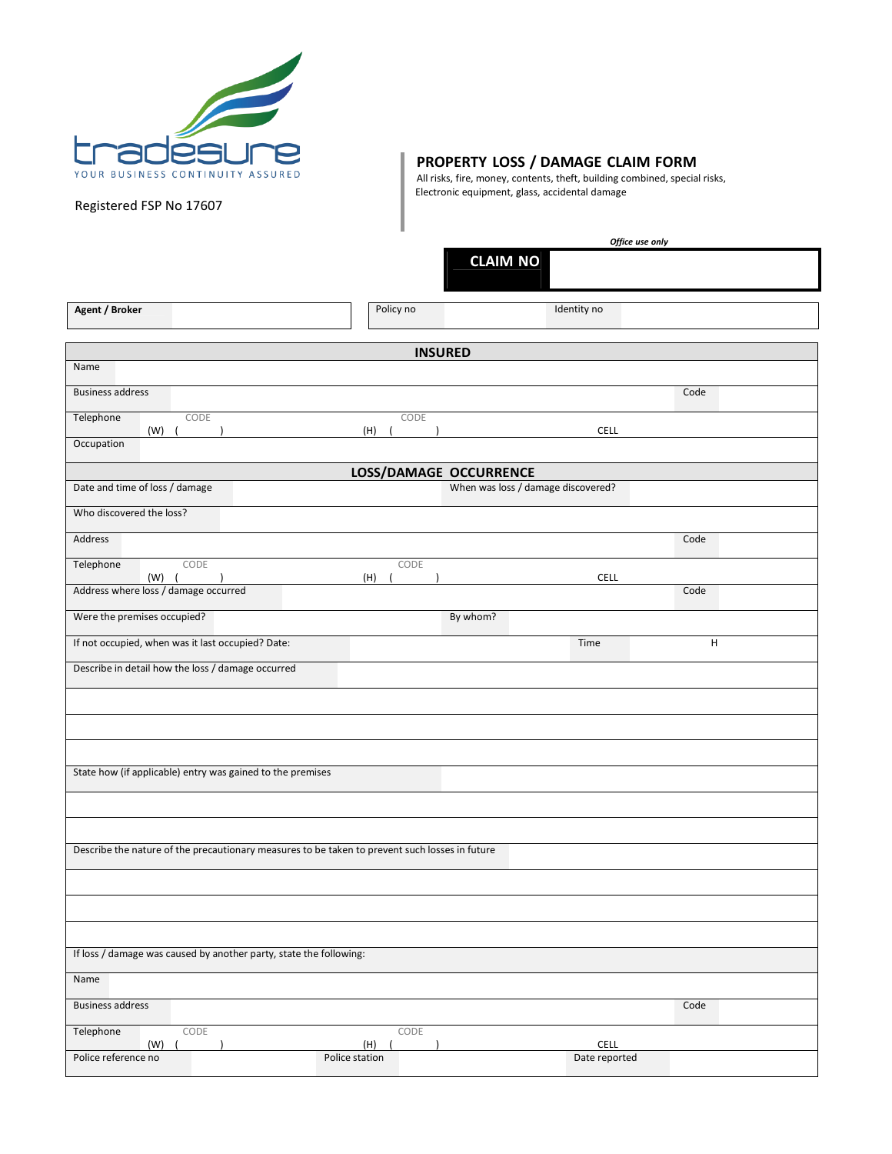

Registered FSP No 17607

**Agent / Broker**

**Business address** 

Name

## **PROPERTY LOSS / DAMAGE CLAIM FORM**

All risks, fire, money, contents, theft, building combined, special risks, Electronic equipment, glass, accidental damage

|                |                                    |             | Office use only |      |  |
|----------------|------------------------------------|-------------|-----------------|------|--|
|                | <b>CLAIM NO</b>                    |             |                 |      |  |
| Policy no      |                                    | Identity no |                 |      |  |
| <b>INSURED</b> |                                    |             |                 |      |  |
|                |                                    |             |                 |      |  |
|                |                                    |             |                 | Code |  |
| CODE<br>(H)    |                                    | <b>CELL</b> |                 |      |  |
|                |                                    |             |                 |      |  |
|                | LOSS/DAMAGE OCCURRENCE             |             |                 |      |  |
|                | When was loss / damage discovered? |             |                 |      |  |

| Telephone<br>CODE                                                                              | CODE                   |                                    |      |
|------------------------------------------------------------------------------------------------|------------------------|------------------------------------|------|
| (W)<br>Occupation                                                                              | (H)                    | <b>CELL</b>                        |      |
|                                                                                                |                        |                                    |      |
|                                                                                                | LOSS/DAMAGE OCCURRENCE |                                    |      |
| Date and time of loss / damage                                                                 |                        | When was loss / damage discovered? |      |
| Who discovered the loss?                                                                       |                        |                                    |      |
| <b>Address</b>                                                                                 |                        |                                    | Code |
| Telephone<br>CODE<br>(W)                                                                       | CODE<br>(H)            | <b>CELL</b>                        |      |
| Address where loss / damage occurred                                                           |                        |                                    | Code |
| Were the premises occupied?                                                                    |                        | By whom?                           |      |
| If not occupied, when was it last occupied? Date:                                              |                        | Time                               | н    |
| Describe in detail how the loss / damage occurred                                              |                        |                                    |      |
|                                                                                                |                        |                                    |      |
|                                                                                                |                        |                                    |      |
|                                                                                                |                        |                                    |      |
| State how (if applicable) entry was gained to the premises                                     |                        |                                    |      |
|                                                                                                |                        |                                    |      |
|                                                                                                |                        |                                    |      |
| Describe the nature of the precautionary measures to be taken to prevent such losses in future |                        |                                    |      |
|                                                                                                |                        |                                    |      |
|                                                                                                |                        |                                    |      |
|                                                                                                |                        |                                    |      |
|                                                                                                |                        |                                    |      |
| If loss / damage was caused by another party, state the following:                             |                        |                                    |      |
| Name                                                                                           |                        |                                    |      |
| <b>Business address</b>                                                                        |                        |                                    | Code |
| Telephone<br>CODE<br>(W)                                                                       | CODE<br>(H)            | <b>CELL</b>                        |      |
| Police reference no                                                                            | Police station         | Date reported                      |      |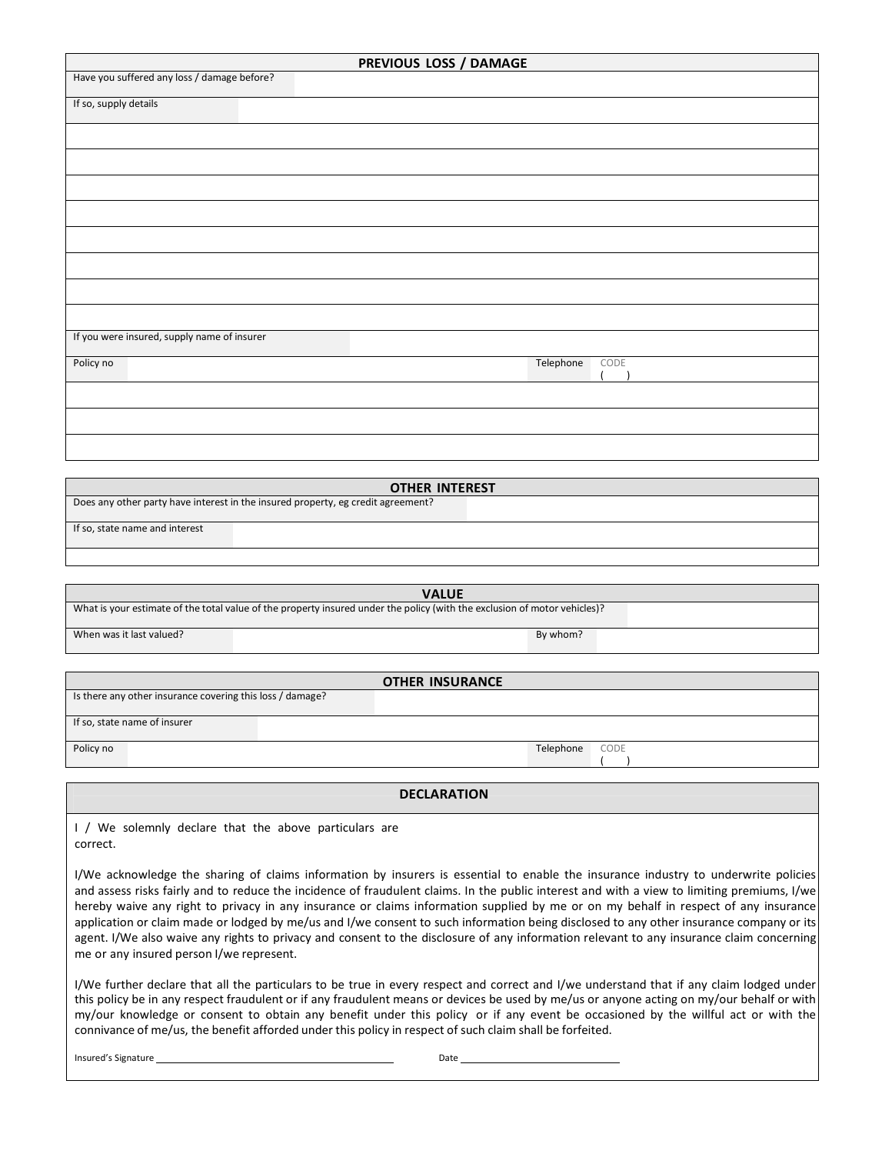| PREVIOUS LOSS / DAMAGE                      |  |  |  |
|---------------------------------------------|--|--|--|
| Have you suffered any loss / damage before? |  |  |  |
| If so, supply details                       |  |  |  |
|                                             |  |  |  |
|                                             |  |  |  |
|                                             |  |  |  |
|                                             |  |  |  |
|                                             |  |  |  |
|                                             |  |  |  |
|                                             |  |  |  |
|                                             |  |  |  |
|                                             |  |  |  |
| If you were insured, supply name of insurer |  |  |  |
| Telephone<br>CODE<br>Policy no              |  |  |  |
|                                             |  |  |  |
|                                             |  |  |  |
|                                             |  |  |  |

| <b>OTHER INTEREST</b>                                                            |  |  |  |
|----------------------------------------------------------------------------------|--|--|--|
| Does any other party have interest in the insured property, eg credit agreement? |  |  |  |
| If so, state name and interest                                                   |  |  |  |
|                                                                                  |  |  |  |

| <b>VALUE</b>                                                                                                              |          |  |  |
|---------------------------------------------------------------------------------------------------------------------------|----------|--|--|
| What is your estimate of the total value of the property insured under the policy (with the exclusion of motor vehicles)? |          |  |  |
| When was it last valued?                                                                                                  | By whom? |  |  |

| <b>OTHER INSURANCE</b>                                    |                   |  |  |  |
|-----------------------------------------------------------|-------------------|--|--|--|
| Is there any other insurance covering this loss / damage? |                   |  |  |  |
| If so, state name of insurer                              |                   |  |  |  |
| Policy no                                                 | Telephone<br>CODE |  |  |  |

**DECLARATION**

I / We solemnly declare that the above particulars are correct.

I/We acknowledge the sharing of claims information by insurers is essential to enable the insurance industry to underwrite policies and assess risks fairly and to reduce the incidence of fraudulent claims. In the public interest and with a view to limiting premiums, I/we hereby waive any right to privacy in any insurance or claims information supplied by me or on my behalf in respect of any insurance application or claim made or lodged by me/us and I/we consent to such information being disclosed to any other insurance company or its agent. I/We also waive any rights to privacy and consent to the disclosure of any information relevant to any insurance claim concerning me or any insured person I/we represent.

I/We further declare that all the particulars to be true in every respect and correct and I/we understand that if any claim lodged under this policy be in any respect fraudulent or if any fraudulent means or devices be used by me/us or anyone acting on my/our behalf or with my/our knowledge or consent to obtain any benefit under this policy or if any event be occasioned by the willful act or with the connivance of me/us, the benefit afforded under this policy in respect of such claim shall be forfeited.

Insured's Signature Date Date Date Date